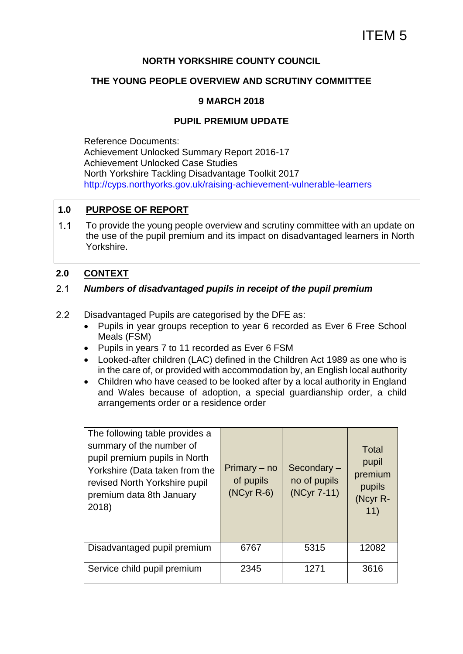#### **NORTH YORKSHIRE COUNTY COUNCIL**

#### **THE YOUNG PEOPLE OVERVIEW AND SCRUTINY COMMITTEE**

#### **9 MARCH 2018**

#### **PUPIL PREMIUM UPDATE**

Reference Documents: Achievement Unlocked Summary Report 2016-17 Achievement Unlocked Case Studies North Yorkshire Tackling Disadvantage Toolkit 2017 <http://cyps.northyorks.gov.uk/raising-achievement-vulnerable-learners>

#### **1.0 PURPOSE OF REPORT**

 $1.1$ To provide the young people overview and scrutiny committee with an update on the use of the pupil premium and its impact on disadvantaged learners in North Yorkshire.

#### **2.0 CONTEXT**

#### $2.1$ *Numbers of disadvantaged pupils in receipt of the pupil premium*

- $2.2$ Disadvantaged Pupils are categorised by the DFE as:
	- Pupils in year groups reception to year 6 recorded as Ever 6 Free School Meals (FSM)
	- Pupils in years 7 to 11 recorded as Ever 6 FSM
	- Looked-after children (LAC) defined in the Children Act 1989 as one who is in the care of, or provided with accommodation by, an English local authority
	- Children who have ceased to be looked after by a local authority in England and Wales because of adoption, a special guardianship order, a child arrangements order or a residence order

| The following table provides a<br>summary of the number of<br>pupil premium pupils in North<br>Yorkshire (Data taken from the<br>revised North Yorkshire pupil<br>premium data 8th January<br>2018) | Primary – no<br>of pupils<br>$(NCyr R-6)$ | Secondary-<br>no of pupils<br>(NCyr 7-11) | Total<br>pupil<br>premium<br>pupils<br>(Ncyr R-<br>11) |
|-----------------------------------------------------------------------------------------------------------------------------------------------------------------------------------------------------|-------------------------------------------|-------------------------------------------|--------------------------------------------------------|
| Disadvantaged pupil premium                                                                                                                                                                         | 6767                                      | 5315                                      | 12082                                                  |
| Service child pupil premium                                                                                                                                                                         | 2345                                      | 1271                                      | 3616                                                   |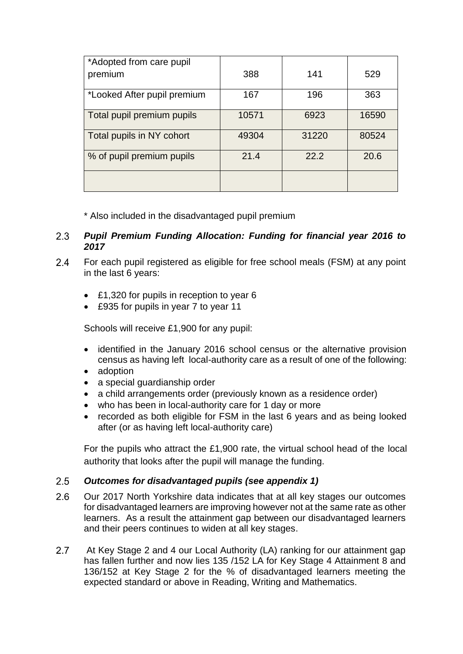| *Adopted from care pupil    |       |       |       |
|-----------------------------|-------|-------|-------|
| premium                     | 388   | 141   | 529   |
| *Looked After pupil premium | 167   | 196   | 363   |
| Total pupil premium pupils  | 10571 | 6923  | 16590 |
| Total pupils in NY cohort   | 49304 | 31220 | 80524 |
| % of pupil premium pupils   | 21.4  | 22.2  | 20.6  |
|                             |       |       |       |

\* Also included in the disadvantaged pupil premium

#### $2.3$ *Pupil Premium Funding Allocation: Funding for financial year 2016 to 2017*

- $2.4$ For each pupil registered as eligible for free school meals (FSM) at any point in the last 6 years:
	- £1,320 for pupils in reception to year 6
	- £935 for pupils in year 7 to year 11

Schools will receive £1,900 for any pupil:

- identified in the January 2016 school census or the alternative provision census as having left local-authority care as a result of one of the following:
- adoption
- a special guardianship order
- a child arrangements order (previously known as a residence order)
- who has been in local-authority care for 1 day or more
- recorded as both eligible for FSM in the last 6 years and as being looked after (or as having left local-authority care)

For the pupils who attract the £1,900 rate, the virtual school head of the local authority that looks after the pupil will manage the funding.

#### $2.5$ *Outcomes for disadvantaged pupils (see appendix 1)*

- $2.6$ Our 2017 North Yorkshire data indicates that at all key stages our outcomes for disadvantaged learners are improving however not at the same rate as other learners. As a result the attainment gap between our disadvantaged learners and their peers continues to widen at all key stages.
- $2.7$ At Key Stage 2 and 4 our Local Authority (LA) ranking for our attainment gap has fallen further and now lies 135 /152 LA for Key Stage 4 Attainment 8 and 136/152 at Key Stage 2 for the % of disadvantaged learners meeting the expected standard or above in Reading, Writing and Mathematics.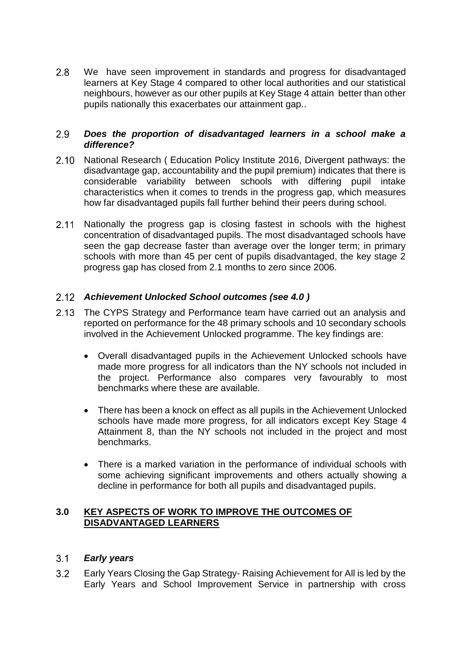$2.8$ We have seen improvement in standards and progress for disadvantaged learners at Key Stage 4 compared to other local authorities and our statistical neighbours, however as our other pupils at Key Stage 4 attain better than other pupils nationally this exacerbates our attainment gap..

#### $2.9$ *Does the proportion of disadvantaged learners in a school make a difference?*

- $2.10$ National Research ( Education Policy Institute 2016, Divergent pathways: the disadvantage gap, accountability and the pupil premium) indicates that there is considerable variability between schools with differing pupil intake characteristics when it comes to trends in the progress gap, which measures how far disadvantaged pupils fall further behind their peers during school.
- $2.11$ Nationally the progress gap is closing fastest in schools with the highest concentration of disadvantaged pupils. The most disadvantaged schools have seen the gap decrease faster than average over the longer term; in primary schools with more than 45 per cent of pupils disadvantaged, the key stage 2 progress gap has closed from 2.1 months to zero since 2006.

#### *Achievement Unlocked School outcomes (see [4.0](#page-5-0) )*

- 2.13 The CYPS Strategy and Performance team have carried out an analysis and reported on performance for the 48 primary schools and 10 secondary schools involved in the Achievement Unlocked programme. The key findings are:
	- Overall disadvantaged pupils in the Achievement Unlocked schools have made more progress for all indicators than the NY schools not included in the project. Performance also compares very favourably to most benchmarks where these are available.
	- There has been a knock on effect as all pupils in the Achievement Unlocked schools have made more progress, for all indicators except Key Stage 4 Attainment 8, than the NY schools not included in the project and most benchmarks.
	- There is a marked variation in the performance of individual schools with some achieving significant improvements and others actually showing a decline in performance for both all pupils and disadvantaged pupils.

#### **3.0 KEY ASPECTS OF WORK TO IMPROVE THE OUTCOMES OF DISADVANTAGED LEARNERS**

#### $3.1$ *Early years*

 $3.2$ Early Years Closing the Gap Strategy- Raising Achievement for All is led by the Early Years and School Improvement Service in partnership with cross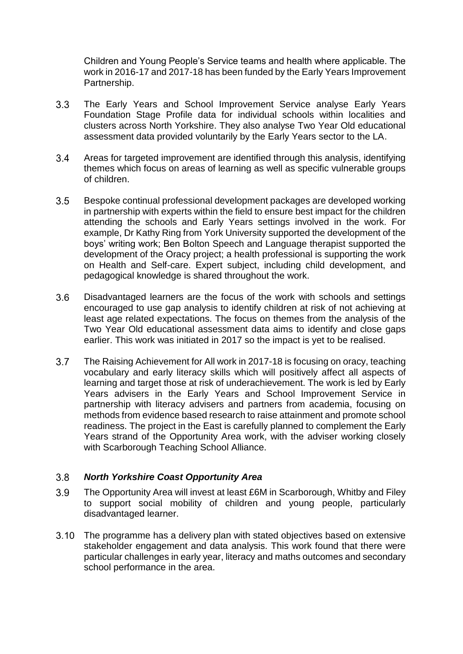Children and Young People's Service teams and health where applicable. The work in 2016-17 and 2017-18 has been funded by the Early Years Improvement Partnership.

- $3.3$ The Early Years and School Improvement Service analyse Early Years Foundation Stage Profile data for individual schools within localities and clusters across North Yorkshire. They also analyse Two Year Old educational assessment data provided voluntarily by the Early Years sector to the LA.
- 3.4 Areas for targeted improvement are identified through this analysis, identifying themes which focus on areas of learning as well as specific vulnerable groups of children.
- $3.5$ Bespoke continual professional development packages are developed working in partnership with experts within the field to ensure best impact for the children attending the schools and Early Years settings involved in the work. For example, Dr Kathy Ring from York University supported the development of the boys' writing work; Ben Bolton Speech and Language therapist supported the development of the Oracy project; a health professional is supporting the work on Health and Self-care. Expert subject, including child development, and pedagogical knowledge is shared throughout the work.
- $3.6$ Disadvantaged learners are the focus of the work with schools and settings encouraged to use gap analysis to identify children at risk of not achieving at least age related expectations. The focus on themes from the analysis of the Two Year Old educational assessment data aims to identify and close gaps earlier. This work was initiated in 2017 so the impact is yet to be realised.
- $3.7$ The Raising Achievement for All work in 2017-18 is focusing on oracy, teaching vocabulary and early literacy skills which will positively affect all aspects of learning and target those at risk of underachievement. The work is led by Early Years advisers in the Early Years and School Improvement Service in partnership with literacy advisers and partners from academia, focusing on methods from evidence based research to raise attainment and promote school readiness. The project in the East is carefully planned to complement the Early Years strand of the Opportunity Area work, with the adviser working closely with Scarborough Teaching School Alliance.

#### $3.8$ *North Yorkshire Coast Opportunity Area*

- $3.9$ The Opportunity Area will invest at least £6M in Scarborough, Whitby and Filey to support social mobility of children and young people, particularly disadvantaged learner.
- $3.10$ The programme has a delivery plan with stated objectives based on extensive stakeholder engagement and data analysis. This work found that there were particular challenges in early year, literacy and maths outcomes and secondary school performance in the area.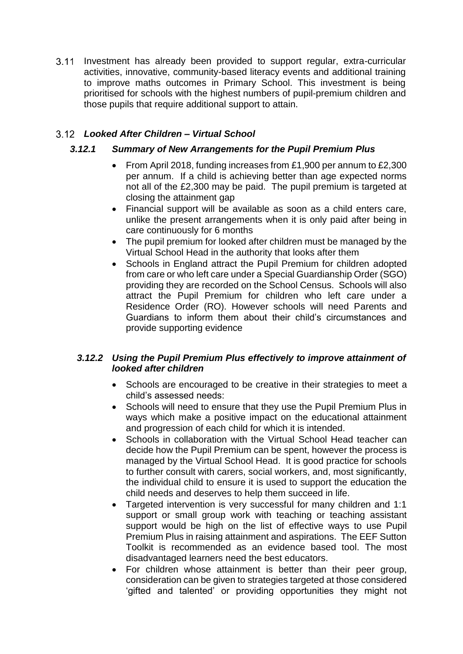3.11 Investment has already been provided to support regular, extra-curricular activities, innovative, community-based literacy events and additional training to improve maths outcomes in Primary School. This investment is being prioritised for schools with the highest numbers of pupil-premium children and those pupils that require additional support to attain.

### *Looked After Children – Virtual School*

#### *3.12.1 Summary of New Arrangements for the Pupil Premium Plus*

- From April 2018, funding increases from £1,900 per annum to £2,300 per annum. If a child is achieving better than age expected norms not all of the £2,300 may be paid. The pupil premium is targeted at closing the attainment gap
- Financial support will be available as soon as a child enters care, unlike the present arrangements when it is only paid after being in care continuously for 6 months
- The pupil premium for looked after children must be managed by the Virtual School Head in the authority that looks after them
- Schools in England attract the Pupil Premium for children adopted from care or who left care under a Special Guardianship Order (SGO) providing they are recorded on the School Census. Schools will also attract the Pupil Premium for children who left care under a Residence Order (RO). However schools will need Parents and Guardians to inform them about their child's circumstances and provide supporting evidence

#### *3.12.2 Using the Pupil Premium Plus effectively to improve attainment of looked after children*

- Schools are encouraged to be creative in their strategies to meet a child's assessed needs:
- Schools will need to ensure that they use the Pupil Premium Plus in ways which make a positive impact on the educational attainment and progression of each child for which it is intended.
- Schools in collaboration with the Virtual School Head teacher can decide how the Pupil Premium can be spent, however the process is managed by the Virtual School Head. It is good practice for schools to further consult with carers, social workers, and, most significantly, the individual child to ensure it is used to support the education the child needs and deserves to help them succeed in life.
- Targeted intervention is very successful for many children and 1:1 support or small group work with teaching or teaching assistant support would be high on the list of effective ways to use Pupil Premium Plus in raising attainment and aspirations. The EEF Sutton Toolkit is recommended as an evidence based tool. The most disadvantaged learners need the best educators.
- For children whose attainment is better than their peer group, consideration can be given to strategies targeted at those considered 'gifted and talented' or providing opportunities they might not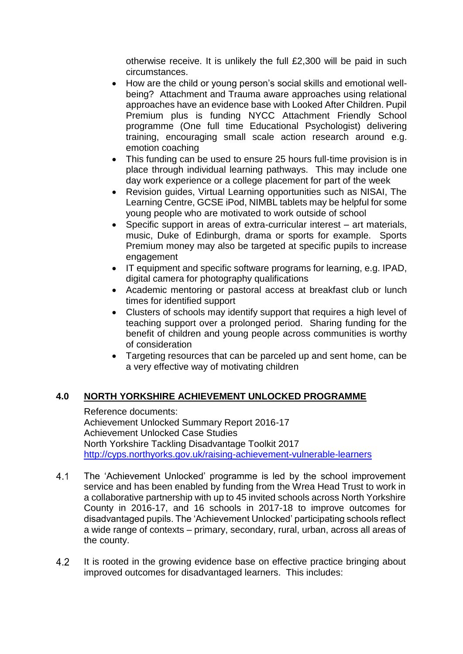otherwise receive. It is unlikely the full £2,300 will be paid in such circumstances.

- How are the child or young person's social skills and emotional wellbeing? Attachment and Trauma aware approaches using relational approaches have an evidence base with Looked After Children. Pupil Premium plus is funding NYCC Attachment Friendly School programme (One full time Educational Psychologist) delivering training, encouraging small scale action research around e.g. emotion coaching
- This funding can be used to ensure 25 hours full-time provision is in place through individual learning pathways. This may include one day work experience or a college placement for part of the week
- Revision guides, Virtual Learning opportunities such as NISAI, The Learning Centre, GCSE iPod, NIMBL tablets may be helpful for some young people who are motivated to work outside of school
- Specific support in areas of extra-curricular interest art materials, music, Duke of Edinburgh, drama or sports for example. Sports Premium money may also be targeted at specific pupils to increase engagement
- IT equipment and specific software programs for learning, e.g. IPAD, digital camera for photography qualifications
- Academic mentoring or pastoral access at breakfast club or lunch times for identified support
- Clusters of schools may identify support that requires a high level of teaching support over a prolonged period. Sharing funding for the benefit of children and young people across communities is worthy of consideration
- Targeting resources that can be parceled up and sent home, can be a very effective way of motivating children

#### <span id="page-5-0"></span>**4.0 NORTH YORKSHIRE ACHIEVEMENT UNLOCKED PROGRAMME**

Reference documents: Achievement Unlocked Summary Report 2016-17 Achievement Unlocked Case Studies North Yorkshire Tackling Disadvantage Toolkit 2017 <http://cyps.northyorks.gov.uk/raising-achievement-vulnerable-learners>

- $4.1$ The 'Achievement Unlocked' programme is led by the school improvement service and has been enabled by funding from the Wrea Head Trust to work in a collaborative partnership with up to 45 invited schools across North Yorkshire County in 2016-17, and 16 schools in 2017-18 to improve outcomes for disadvantaged pupils. The 'Achievement Unlocked' participating schools reflect a wide range of contexts – primary, secondary, rural, urban, across all areas of the county.
- $4.2$ It is rooted in the growing evidence base on effective practice bringing about improved outcomes for disadvantaged learners. This includes: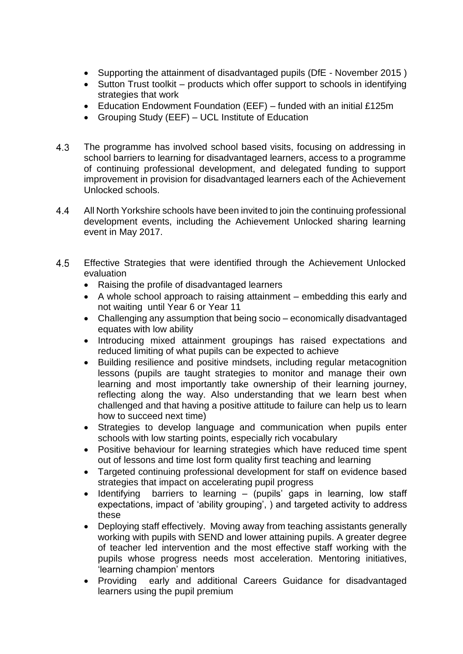- Supporting the attainment of disadvantaged pupils (DfE November 2015)
- Sutton Trust toolkit products which offer support to schools in identifying strategies that work
- Education Endowment Foundation (EEF) funded with an initial £125m
- Grouping Study (EEF) UCL Institute of Education
- 4.3 The programme has involved school based visits, focusing on addressing in school barriers to learning for disadvantaged learners, access to a programme of continuing professional development, and delegated funding to support improvement in provision for disadvantaged learners each of the Achievement Unlocked schools.
- 4.4 All North Yorkshire schools have been invited to join the continuing professional development events, including the Achievement Unlocked sharing learning event in May 2017.
- 4.5 Effective Strategies that were identified through the Achievement Unlocked evaluation
	- Raising the profile of disadvantaged learners
	- A whole school approach to raising attainment embedding this early and not waiting until Year 6 or Year 11
	- Challenging any assumption that being socio economically disadvantaged equates with low ability
	- Introducing mixed attainment groupings has raised expectations and reduced limiting of what pupils can be expected to achieve
	- Building resilience and positive mindsets, including regular metacognition lessons (pupils are taught strategies to monitor and manage their own learning and most importantly take ownership of their learning journey, reflecting along the way. Also understanding that we learn best when challenged and that having a positive attitude to failure can help us to learn how to succeed next time)
	- Strategies to develop language and communication when pupils enter schools with low starting points, especially rich vocabulary
	- Positive behaviour for learning strategies which have reduced time spent out of lessons and time lost form quality first teaching and learning
	- Targeted continuing professional development for staff on evidence based strategies that impact on accelerating pupil progress
	- $\bullet$  Identifying barriers to learning (pupils' gaps in learning, low staff expectations, impact of 'ability grouping', ) and targeted activity to address these
	- Deploying staff effectively. Moving away from teaching assistants generally working with pupils with SEND and lower attaining pupils. A greater degree of teacher led intervention and the most effective staff working with the pupils whose progress needs most acceleration. Mentoring initiatives, 'learning champion' mentors
	- Providing early and additional Careers Guidance for disadvantaged learners using the pupil premium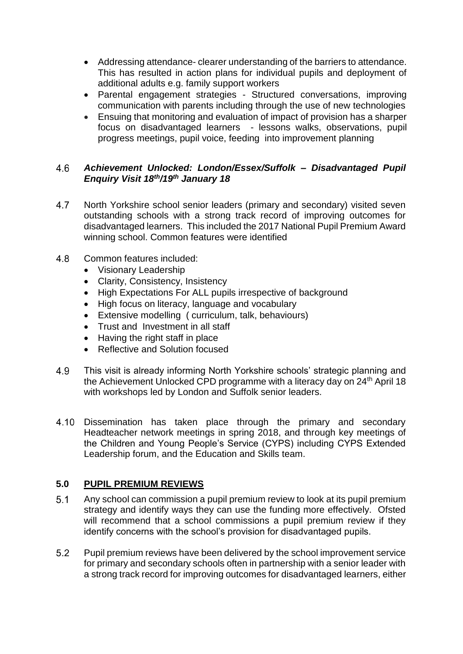- Addressing attendance- clearer understanding of the barriers to attendance. This has resulted in action plans for individual pupils and deployment of additional adults e.g. family support workers
- Parental engagement strategies Structured conversations, improving communication with parents including through the use of new technologies
- Ensuing that monitoring and evaluation of impact of provision has a sharper focus on disadvantaged learners - lessons walks, observations, pupil progress meetings, pupil voice, feeding into improvement planning

#### $4.6$ *Achievement Unlocked: London/Essex/Suffolk – Disadvantaged Pupil Enquiry Visit 18th/19th January 18*

- 4.7 North Yorkshire school senior leaders (primary and secondary) visited seven outstanding schools with a strong track record of improving outcomes for disadvantaged learners. This included the 2017 National Pupil Premium Award winning school. Common features were identified
- 4.8 Common features included:
	- Visionary Leadership
	- Clarity, Consistency, Insistency
	- High Expectations For ALL pupils irrespective of background
	- High focus on literacy, language and vocabulary
	- Extensive modelling ( curriculum, talk, behaviours)
	- Trust and Investment in all staff
	- Having the right staff in place
	- Reflective and Solution focused
- This visit is already informing North Yorkshire schools' strategic planning and 4.9 the Achievement Unlocked CPD programme with a literacy day on 24<sup>th</sup> April 18 with workshops led by London and Suffolk senior leaders.
- $4.10 -$ Dissemination has taken place through the primary and secondary Headteacher network meetings in spring 2018, and through key meetings of the Children and Young People's Service (CYPS) including CYPS Extended Leadership forum, and the Education and Skills team.

#### **5.0 PUPIL PREMIUM REVIEWS**

- $5.1$ Any school can commission a pupil premium review to look at its pupil premium strategy and identify ways they can use the funding more effectively. Ofsted will recommend that a school commissions a pupil premium review if they identify concerns with the school's provision for disadvantaged pupils.
- $5.2$ Pupil premium reviews have been delivered by the school improvement service for primary and secondary schools often in partnership with a senior leader with a strong track record for improving outcomes for disadvantaged learners, either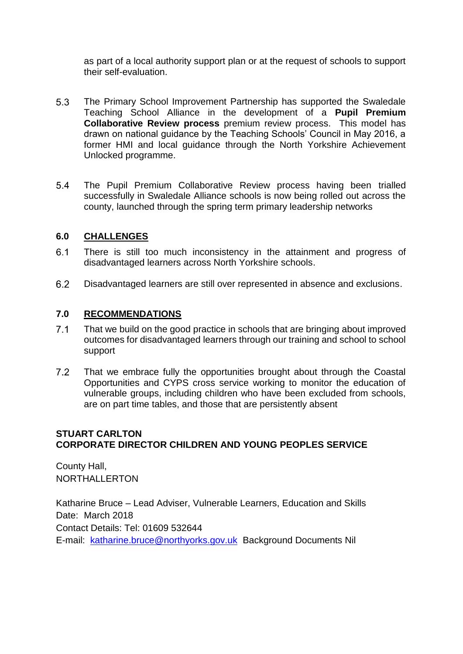as part of a local authority support plan or at the request of schools to support their self-evaluation.

- $5.3$ The Primary School Improvement Partnership has supported the Swaledale Teaching School Alliance in the development of a **Pupil Premium Collaborative Review process** premium review process. This model has drawn on national guidance by the Teaching Schools' Council in May 2016, a former HMI and local guidance through the North Yorkshire Achievement Unlocked programme.
- $5.4$ The Pupil Premium Collaborative Review process having been trialled successfully in Swaledale Alliance schools is now being rolled out across the county, launched through the spring term primary leadership networks

#### **6.0 CHALLENGES**

- $6.1$ There is still too much inconsistency in the attainment and progress of disadvantaged learners across North Yorkshire schools.
- $6.2$ Disadvantaged learners are still over represented in absence and exclusions.

#### **7.0 RECOMMENDATIONS**

- $7.1$ That we build on the good practice in schools that are bringing about improved outcomes for disadvantaged learners through our training and school to school support
- $7.2$ That we embrace fully the opportunities brought about through the Coastal Opportunities and CYPS cross service working to monitor the education of vulnerable groups, including children who have been excluded from schools, are on part time tables, and those that are persistently absent

#### **STUART CARLTON CORPORATE DIRECTOR CHILDREN AND YOUNG PEOPLES SERVICE**

County Hall, NORTHALLERTON

Katharine Bruce – Lead Adviser, Vulnerable Learners, Education and Skills Date: March 2018 Contact Details: Tel: 01609 532644 E-mail: [katharine.bruce@northyorks.gov.uk](mailto:katharine.bruce@northyorks.gov.uk) Background Documents Nil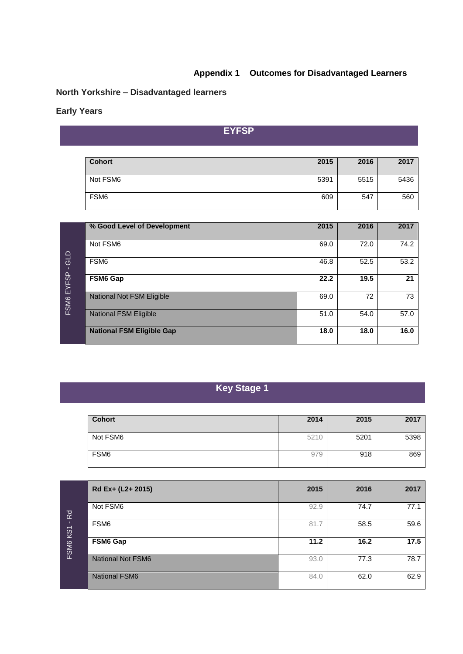### **Appendix 1 Outcomes for Disadvantaged Learners**

# **North Yorkshire – Disadvantaged learners**

### **Early Years**

**EYFSP**

| <b>Cohort</b>    | 2015 | 2016 | 2017 |
|------------------|------|------|------|
| Not FSM6         | 5391 | 5515 | 5436 |
| FSM <sub>6</sub> | 609  | 547  | 560  |

|                   | % Good Level of Development      | 2015 | 2016 | 2017 |
|-------------------|----------------------------------|------|------|------|
| GLD<br>FSM6 EYFSP | Not FSM6                         | 69.0 | 72.0 | 74.2 |
|                   | FSM <sub>6</sub>                 | 46.8 | 52.5 | 53.2 |
|                   | <b>FSM6 Gap</b>                  | 22.2 | 19.5 | 21   |
|                   | National Not FSM Eligible        | 69.0 | 72   | 73   |
|                   | <b>National FSM Eligible</b>     | 51.0 | 54.0 | 57.0 |
|                   | <b>National FSM Eligible Gap</b> | 18.0 | 18.0 | 16.0 |

# **Key Stage 1**

| <b>Cohort</b> | 2014 | 2015 | 2017 |
|---------------|------|------|------|
|               |      |      |      |
| Not FSM6      | 5210 | 5201 | 5398 |
|               |      |      |      |
| FSM6          | 979  | 918  | 869  |
|               |      |      |      |

|                                           | Rd Ex+ (L2+ 2015)        | 2015 | 2016 | 2017 |
|-------------------------------------------|--------------------------|------|------|------|
| $\overline{R}$<br>KS1<br>FSM <sub>6</sub> | Not FSM6                 | 92.9 | 74.7 | 77.1 |
|                                           | FSM <sub>6</sub>         | 81.7 | 58.5 | 59.6 |
|                                           | FSM6 Gap                 | 11.2 | 16.2 | 17.5 |
|                                           | <b>National Not FSM6</b> | 93.0 | 77.3 | 78.7 |
|                                           | <b>National FSM6</b>     | 84.0 | 62.0 | 62.9 |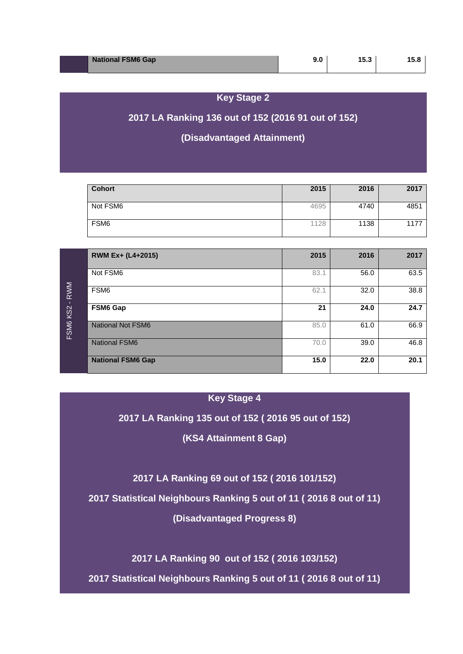| <b>National FSM6 Gap</b> | 15.3 |  |
|--------------------------|------|--|
|                          |      |  |

## **Key Stage 2**

## **2017 LA Ranking 136 out of 152 (2016 91 out of 152)**

## **(Disadvantaged Attainment)**

| <b>Cohort</b>    | 2015 | 2016 | 2017 |
|------------------|------|------|------|
| Not FSM6         | 4695 | 4740 | 4851 |
| FSM <sub>6</sub> | 1128 | 1138 | 1177 |

|          | RWM Ex+ (L4+2015)        | 2015 | 2016 | 2017 |
|----------|--------------------------|------|------|------|
|          | Not FSM6                 | 83.1 | 56.0 | 63.5 |
| RWM      | FSM6                     | 62.1 | 32.0 | 38.8 |
| FSM6 KS2 | FSM6 Gap                 | 21   | 24.0 | 24.7 |
|          | <b>National Not FSM6</b> | 85.0 | 61.0 | 66.9 |
|          | <b>National FSM6</b>     | 70.0 | 39.0 | 46.8 |
|          | <b>National FSM6 Gap</b> | 15.0 | 22.0 | 20.1 |

#### **Key Stage 4**

#### **2017 LA Ranking 135 out of 152 ( 2016 95 out of 152)**

## **(KS4 Attainment 8 Gap)**

**2017 LA Ranking 69 out of 152 ( 2016 101/152)**

**2017 Statistical Neighbours Ranking 5 out of 11 ( 2016 8 out of 11)**

**(Disadvantaged Progress 8)**

**2017 LA Ranking 90 out of 152 ( 2016 103/152)**

**2017 Statistical Neighbours Ranking 5 out of 11 ( 2016 8 out of 11)**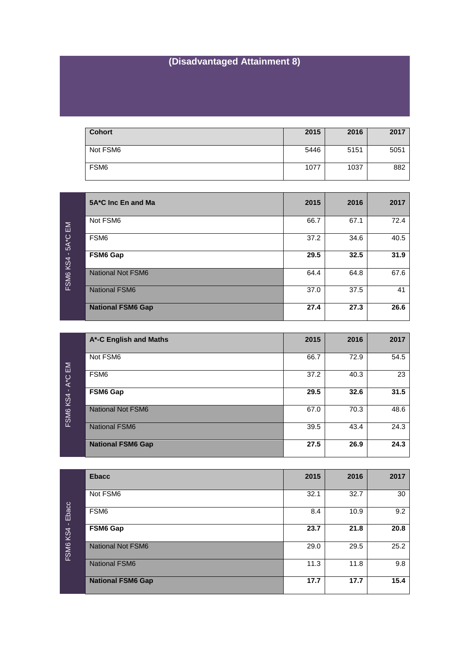# **(Disadvantaged Attainment 8)**

| <b>Cohort</b>    | 2015 | 2016 | 2017 |
|------------------|------|------|------|
| Not FSM6         | 5446 | 5151 | 5051 |
| FSM <sub>6</sub> | 1077 | 1037 | 882  |

| 5A*C Inc En and Ma       | 2015 | 2016 | 2017 |
|--------------------------|------|------|------|
| Not FSM6                 | 66.7 | 67.1 | 72.4 |
| FSM <sub>6</sub>         | 37.2 | 34.6 | 40.5 |
| FSM6 Gap                 | 29.5 | 32.5 | 31.9 |
| <b>National Not FSM6</b> | 64.4 | 64.8 | 67.6 |
| <b>National FSM6</b>     | 37.0 | 37.5 | 41   |
| <b>National FSM6 Gap</b> | 27.4 | 27.3 | 26.6 |

|                                          | A*-C English and Maths   | 2015 | 2016 | 2017 |
|------------------------------------------|--------------------------|------|------|------|
| $\mathsf{E}\mathsf{M}$<br>FSM6 KS4 - A*C | Not FSM6                 | 66.7 | 72.9 | 54.5 |
|                                          | FSM <sub>6</sub>         | 37.2 | 40.3 | 23   |
|                                          | FSM6 Gap                 | 29.5 | 32.6 | 31.5 |
|                                          | <b>National Not FSM6</b> | 67.0 | 70.3 | 48.6 |
|                                          | <b>National FSM6</b>     | 39.5 | 43.4 | 24.3 |
|                                          | <b>National FSM6 Gap</b> | 27.5 | 26.9 | 24.3 |

| Ebacc<br>- 11<br><b>KS4</b><br><b>FSM6</b> | <b>Ebacc</b>             | 2015 | 2016 | 2017 |
|--------------------------------------------|--------------------------|------|------|------|
|                                            | Not FSM6                 | 32.1 | 32.7 | 30   |
|                                            | FSM <sub>6</sub>         | 8.4  | 10.9 | 9.2  |
|                                            | FSM6 Gap                 | 23.7 | 21.8 | 20.8 |
|                                            | <b>National Not FSM6</b> | 29.0 | 29.5 | 25.2 |
|                                            | <b>National FSM6</b>     | 11.3 | 11.8 | 9.8  |
|                                            | <b>National FSM6 Gap</b> | 17.7 | 17.7 | 15.4 |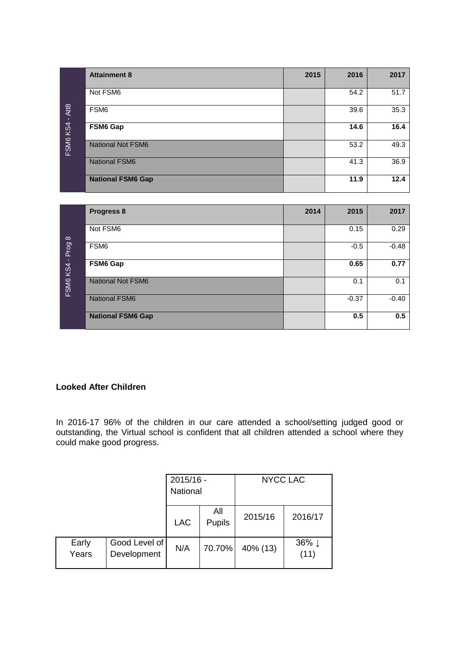| FSM6 KS4 - Att8   | <b>Attainment 8</b>      | 2015 | 2016    | 2017    |
|-------------------|--------------------------|------|---------|---------|
|                   | Not FSM6                 |      | 54.2    | 51.7    |
|                   | FSM <sub>6</sub>         |      | 39.6    | 35.3    |
|                   | <b>FSM6 Gap</b>          |      | 14.6    | 16.4    |
|                   | <b>National Not FSM6</b> |      | 53.2    | 49.3    |
|                   | <b>National FSM6</b>     |      | 41.3    | 36.9    |
|                   | <b>National FSM6 Gap</b> |      | 11.9    | 12.4    |
|                   |                          |      |         |         |
|                   | Progress 8               | 2014 | 2015    | 2017    |
|                   | Not FSM6                 |      | 0.15    | 0.29    |
| FSM6 KS4 - Prog 8 | FSM6                     |      | $-0.5$  | $-0.48$ |
|                   | <b>FSM6 Gap</b>          |      | 0.65    | 0.77    |
|                   | <b>National Not FSM6</b> |      | 0.1     | 0.1     |
|                   | <b>National FSM6</b>     |      | $-0.37$ | $-0.40$ |
|                   | <b>National FSM6 Gap</b> |      | 0.5     | 0.5     |

#### **Looked After Children**

In 2016-17 96% of the children in our care attended a school/setting judged good or outstanding, the Virtual school is confident that all children attended a school where they could make good progress.

|                |                              | 2015/16 -<br>National |               | <b>NYCC LAC</b> |                |
|----------------|------------------------------|-----------------------|---------------|-----------------|----------------|
|                |                              | <b>LAC</b>            | All<br>Pupils | 2015/16         | 2016/17        |
| Early<br>Years | Good Level of<br>Development | N/A                   | 70.70%        | 40% (13)        | $36\%$<br>(11) |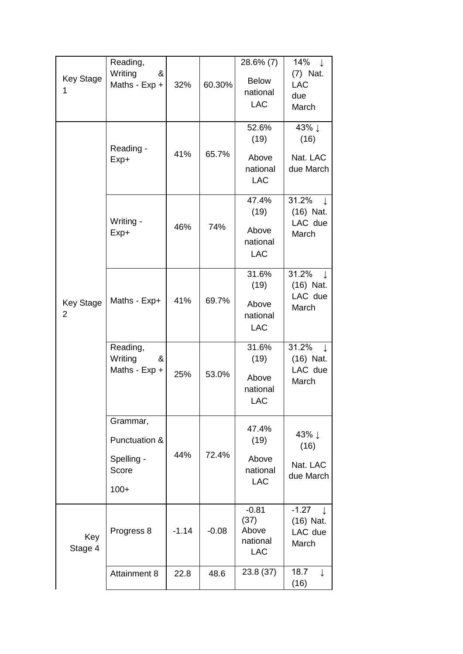| <b>Key Stage</b><br>1              | Reading,<br>Writing<br>&<br>Maths - Exp +                  | 32%     | 60.30%  | 28.6% (7)<br><b>Below</b><br>national<br><b>LAC</b> | 14%<br>$\downarrow$<br>(7) Nat.<br><b>LAC</b><br>due<br>March |
|------------------------------------|------------------------------------------------------------|---------|---------|-----------------------------------------------------|---------------------------------------------------------------|
|                                    | Reading -<br>Exp+                                          | 41%     | 65.7%   | 52.6%<br>(19)<br>Above<br>national<br><b>LAC</b>    | 43% ↓<br>(16)<br>Nat. LAC<br>due March                        |
|                                    | Writing -<br>$Exp+$                                        | 46%     | 74%     | 47.4%<br>(19)<br>Above<br>national<br><b>LAC</b>    | 31.2%<br>J.<br>(16) Nat.<br>LAC due<br>March                  |
| <b>Key Stage</b><br>$\overline{2}$ | Maths - Exp+                                               | 41%     | 69.7%   | 31.6%<br>(19)<br>Above<br>national<br><b>LAC</b>    | 31.2%<br>J.<br>(16) Nat.<br>LAC due<br>March                  |
|                                    | Reading,<br>Writing<br>&<br>Maths - Exp +                  | 25%     | 53.0%   | 31.6%<br>(19)<br>Above<br>national<br><b>LAC</b>    | 31.2%<br>J.<br>(16) Nat.<br>LAC due<br>March                  |
|                                    | Grammar,<br>Punctuation &<br>Spelling -<br>Score<br>$100+$ | 44%     | 72.4%   | 47.4%<br>(19)<br>Above<br>national<br><b>LAC</b>    | 43% ↓<br>(16)<br>Nat. LAC<br>due March                        |
| Key<br>Stage 4                     | Progress 8                                                 | $-1.14$ | $-0.08$ | $-0.81$<br>(37)<br>Above<br>national<br><b>LAC</b>  | $-1.27$<br>- J.<br>(16) Nat.<br>LAC due<br>March              |
|                                    | <b>Attainment 8</b>                                        | 22.8    | 48.6    | 23.8 (37)                                           | 18.7<br>$\perp$<br>(16)                                       |